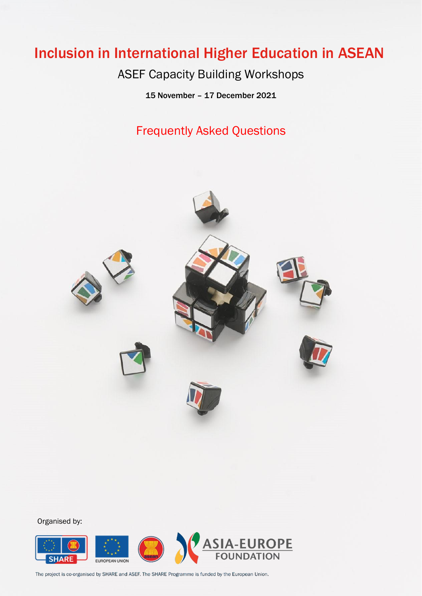# Inclusion in International Higher Education in ASEAN

## ASEF Capacity Building Workshops

15 November – 17 December 2021

### Frequently Asked Questions



Organised by:



The project is co-organised by SHARE and ASEF. The SHARE Programme is funded by the European Union.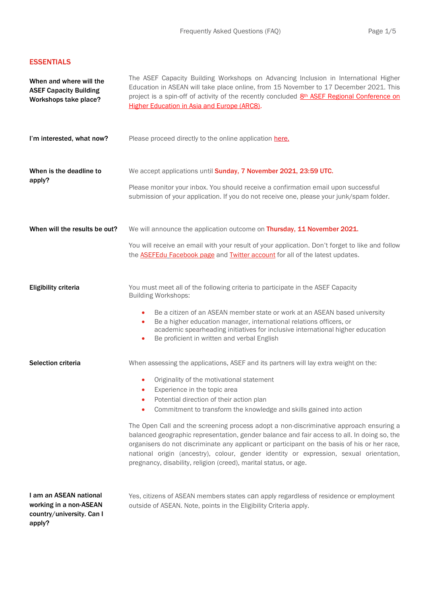### ESSENTIALS

| When and where will the<br><b>ASEF Capacity Building</b><br>Workshops take place?       | The ASEF Capacity Building Workshops on Advancing Inclusion in International Higher<br>Education in ASEAN will take place online, from 15 November to 17 December 2021. This<br>project is a spin-off of activity of the recently concluded 8th ASEF Regional Conference on<br><b>Higher Education in Asia and Europe (ARC8).</b>                                                                                                                   |
|-----------------------------------------------------------------------------------------|-----------------------------------------------------------------------------------------------------------------------------------------------------------------------------------------------------------------------------------------------------------------------------------------------------------------------------------------------------------------------------------------------------------------------------------------------------|
| I'm interested, what now?                                                               | Please proceed directly to the online application here.                                                                                                                                                                                                                                                                                                                                                                                             |
| When is the deadline to<br>apply?                                                       | We accept applications until Sunday, 7 November 2021, 23:59 UTC.                                                                                                                                                                                                                                                                                                                                                                                    |
|                                                                                         | Please monitor your inbox. You should receive a confirmation email upon successful<br>submission of your application. If you do not receive one, please your junk/spam folder.                                                                                                                                                                                                                                                                      |
| When will the results be out?                                                           | We will announce the application outcome on Thursday, 11 November 2021.                                                                                                                                                                                                                                                                                                                                                                             |
|                                                                                         | You will receive an email with your result of your application. Don't forget to like and follow<br>the <b>ASEFEdu Facebook page</b> and <b>Twitter account</b> for all of the latest updates.                                                                                                                                                                                                                                                       |
| <b>Eligibility criteria</b>                                                             | You must meet all of the following criteria to participate in the ASEF Capacity<br><b>Building Workshops:</b>                                                                                                                                                                                                                                                                                                                                       |
|                                                                                         | Be a citizen of an ASEAN member state or work at an ASEAN based university<br>Be a higher education manager, international relations officers, or<br>۰<br>academic spearheading initiatives for inclusive international higher education<br>Be proficient in written and verbal English<br>۰                                                                                                                                                        |
| <b>Selection criteria</b>                                                               | When assessing the applications, ASEF and its partners will lay extra weight on the:                                                                                                                                                                                                                                                                                                                                                                |
|                                                                                         | Originality of the motivational statement<br>Experience in the topic area                                                                                                                                                                                                                                                                                                                                                                           |
|                                                                                         | Potential direction of their action plan<br>٠<br>Commitment to transform the knowledge and skills gained into action<br>٠                                                                                                                                                                                                                                                                                                                           |
|                                                                                         | The Open Call and the screening process adopt a non-discriminative approach ensuring a<br>balanced geographic representation, gender balance and fair access to all. In doing so, the<br>organisers do not discriminate any applicant or participant on the basis of his or her race,<br>national origin (ancestry), colour, gender identity or expression, sexual orientation,<br>pregnancy, disability, religion (creed), marital status, or age. |
| I am an ASEAN national<br>working in a non-ASEAN<br>country/university. Can I<br>apply? | Yes, citizens of ASEAN members states can apply regardless of residence or employment<br>outside of ASEAN. Note, points in the Eligibility Criteria apply.                                                                                                                                                                                                                                                                                          |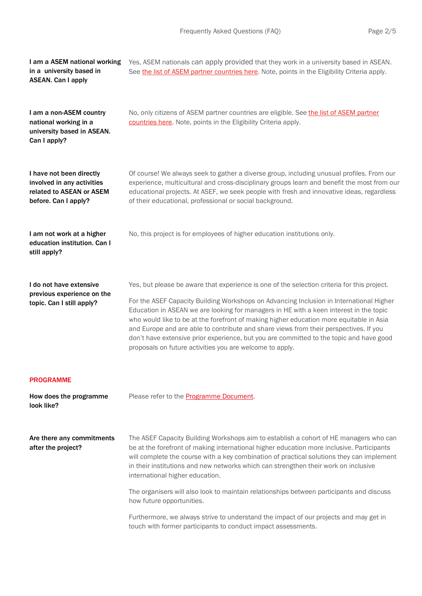| I am a ASEM national working<br>in a university based in<br><b>ASEAN. Can I apply</b>                      | Yes, ASEM nationals can apply provided that they work in a university based in ASEAN.<br>See the list of ASEM partner countries here. Note, points in the Eligibility Criteria apply.                                                                                                                                                                                                                                                                                                                                                                                                                                       |
|------------------------------------------------------------------------------------------------------------|-----------------------------------------------------------------------------------------------------------------------------------------------------------------------------------------------------------------------------------------------------------------------------------------------------------------------------------------------------------------------------------------------------------------------------------------------------------------------------------------------------------------------------------------------------------------------------------------------------------------------------|
| I am a non-ASEM country<br>national working in a<br>university based in ASEAN.<br>Can I apply?             | No, only citizens of ASEM partner countries are eligible. See the list of ASEM partner<br>countries here. Note, points in the Eligibility Criteria apply.                                                                                                                                                                                                                                                                                                                                                                                                                                                                   |
| I have not been directly<br>involved in any activities<br>related to ASEAN or ASEM<br>before. Can I apply? | Of course! We always seek to gather a diverse group, including unusual profiles. From our<br>experience, multicultural and cross-disciplinary groups learn and benefit the most from our<br>educational projects. At ASEF, we seek people with fresh and innovative ideas, regardless<br>of their educational, professional or social background.                                                                                                                                                                                                                                                                           |
| I am not work at a higher<br>education institution. Can I<br>still apply?                                  | No, this project is for employees of higher education institutions only.                                                                                                                                                                                                                                                                                                                                                                                                                                                                                                                                                    |
| I do not have extensive<br>previous experience on the<br>topic. Can I still apply?                         | Yes, but please be aware that experience is one of the selection criteria for this project.<br>For the ASEF Capacity Building Workshops on Advancing Inclusion in International Higher<br>Education in ASEAN we are looking for managers in HE with a keen interest in the topic<br>who would like to be at the forefront of making higher education more equitable in Asia<br>and Europe and are able to contribute and share views from their perspectives. If you<br>don't have extensive prior experience, but you are committed to the topic and have good<br>proposals on future activities you are welcome to apply. |
| <b>PROGRAMME</b>                                                                                           |                                                                                                                                                                                                                                                                                                                                                                                                                                                                                                                                                                                                                             |
| How does the programme<br>look like?                                                                       | Please refer to the <b>Programme Document</b> .                                                                                                                                                                                                                                                                                                                                                                                                                                                                                                                                                                             |
| Are there any commitments<br>after the project?                                                            | The ASEF Capacity Building Workshops aim to establish a cohort of HE managers who can<br>be at the forefront of making international higher education more inclusive. Participants<br>will complete the course with a key combination of practical solutions they can implement<br>in their institutions and new networks which can strengthen their work on inclusive<br>international higher education.                                                                                                                                                                                                                   |
|                                                                                                            | The organisers will also look to maintain relationships between participants and discuss<br>how future opportunities.                                                                                                                                                                                                                                                                                                                                                                                                                                                                                                       |
|                                                                                                            | Furthermore, we always strive to understand the impact of our projects and may get in<br>touch with former participants to conduct impact assessments.                                                                                                                                                                                                                                                                                                                                                                                                                                                                      |